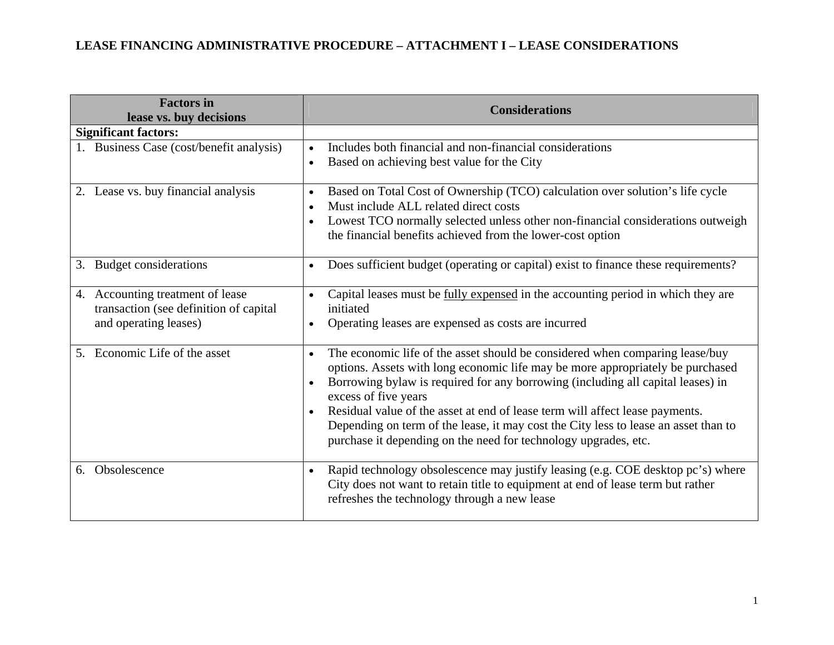## **LEASE FINANCING ADMINISTRATIVE PROCEDURE – ATTACHMENT I – LEASE CONSIDERATIONS**

| <b>Factors in</b><br>lease vs. buy decisions                                                           | <b>Considerations</b>                                                                                                                                                                                                                                                                                                                                                                                                                                                                                                                         |
|--------------------------------------------------------------------------------------------------------|-----------------------------------------------------------------------------------------------------------------------------------------------------------------------------------------------------------------------------------------------------------------------------------------------------------------------------------------------------------------------------------------------------------------------------------------------------------------------------------------------------------------------------------------------|
| <b>Significant factors:</b>                                                                            |                                                                                                                                                                                                                                                                                                                                                                                                                                                                                                                                               |
| 1. Business Case (cost/benefit analysis)                                                               | Includes both financial and non-financial considerations<br>$\bullet$<br>Based on achieving best value for the City<br>$\bullet$                                                                                                                                                                                                                                                                                                                                                                                                              |
| 2. Lease vs. buy financial analysis                                                                    | Based on Total Cost of Ownership (TCO) calculation over solution's life cycle<br>$\bullet$<br>Must include ALL related direct costs<br>Lowest TCO normally selected unless other non-financial considerations outweigh<br>$\bullet$<br>the financial benefits achieved from the lower-cost option                                                                                                                                                                                                                                             |
| Budget considerations<br>3.                                                                            | Does sufficient budget (operating or capital) exist to finance these requirements?<br>$\bullet$                                                                                                                                                                                                                                                                                                                                                                                                                                               |
| Accounting treatment of lease<br>4.<br>transaction (see definition of capital<br>and operating leases) | Capital leases must be fully expensed in the accounting period in which they are<br>$\bullet$<br>initiated<br>Operating leases are expensed as costs are incurred<br>$\bullet$                                                                                                                                                                                                                                                                                                                                                                |
| Economic Life of the asset<br>$5_{-}$                                                                  | The economic life of the asset should be considered when comparing lease/buy<br>$\bullet$<br>options. Assets with long economic life may be more appropriately be purchased<br>Borrowing bylaw is required for any borrowing (including all capital leases) in<br>$\bullet$<br>excess of five years<br>Residual value of the asset at end of lease term will affect lease payments.<br>Depending on term of the lease, it may cost the City less to lease an asset than to<br>purchase it depending on the need for technology upgrades, etc. |
| Obsolescence<br>6.                                                                                     | Rapid technology obsolescence may justify leasing (e.g. COE desktop pc's) where<br>$\bullet$<br>City does not want to retain title to equipment at end of lease term but rather<br>refreshes the technology through a new lease                                                                                                                                                                                                                                                                                                               |